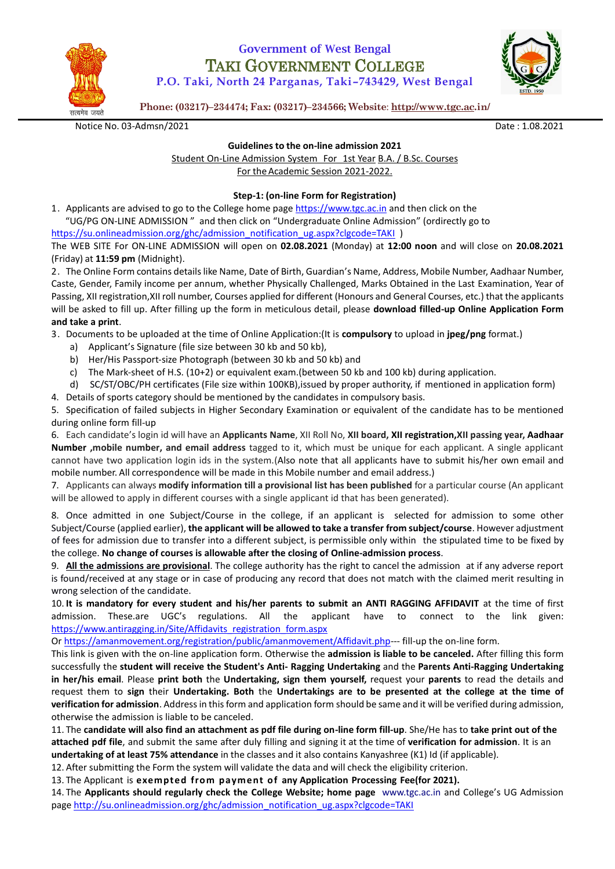

# **Government of West Bengal** TAKI GOVERNMENT COLLEGE

**P.O. Taki, North 24 Parganas, Taki–743429, West Bengal**



**Phone: (03217)–234474; Fax: (03217)–234566; Website**: **<http://www.tgc.ac.in/>**

Notice No. 03-Admsn/2021 **Date : 1.08.2021** Date : 1.08.2021

#### **Guidelines to the on-line admission 2021**

Student On-Line Admission System For 1st Year B.A. / B.Sc. Courses For the Academic Session 2021-2022.

# **Step-1: (on-line Form for Registration)**

1. Applicants are advised to go to the College home page [https://www.tgc.ac.in](https://www.tgc.ac.in/) and then click on the "UG/PG ON-LINE ADMISSION " and then click on "Undergraduate Online Admission" (ordirectly go to

[https://su.onlineadmission.org/ghc/admission\\_notification\\_ug.aspx?clgcode=TAKI](https://su.onlineadmission.org/ghc/admission_notification_ug.aspx?clgcode=TAKI) ) The WEB SITE For ON-LINE ADMISSION will open on **02.08.2021** (Monday) at **12:00 noon** and will close on **20.08.2021**

(Friday) at **11:59 pm** (Midnight).

2. The Online Form contains details like Name, Date of Birth, Guardian's Name, Address, Mobile Number, Aadhaar Number, Caste, Gender, Family income per annum, whether Physically Challenged, Marks Obtained in the Last Examination, Year of Passing, XII registration,XII roll number, Courses applied for different (Honours and General Courses, etc.) that the applicants will be asked to fill up. After filling up the form in meticulous detail, please **download filled-up Online Application Form and take a print**.

3. Documents to be uploaded at the time of Online Application:(It is **compulsory** to upload in **jpeg/png** format.)

- a) Applicant's Signature (file size between 30 kb and 50 kb),
- b) Her/His Passport-size Photograph (between 30 kb and 50 kb) and
- c) The Mark-sheet of H.S. (10+2) or equivalent exam.(between 50 kb and 100 kb) during application.

d) SC/ST/OBC/PH certificates (File size within 100KB),issued by proper authority, if mentioned in application form)

4. Details of sports category should be mentioned by the candidates in compulsory basis.

5. Specification of failed subjects in Higher Secondary Examination or equivalent of the candidate has to be mentioned during online form fill-up

6. Each candidate's login id will have an **Applicants Name**, XII Roll No, **XII board, XII registration,XII passing year, Aadhaar Number ,mobile number, and email address** tagged to it, which must be unique for each applicant. A single applicant cannot have two application login ids in the system.(Also note that all applicants have to submit his/her own email and mobile number. All correspondence will be made in this Mobile number and email address.)

7. Applicants can always **modify information till a provisional list has been published** for a particular course (An applicant will be allowed to apply in different courses with a single applicant id that has been generated).

8. Once admitted in one Subject/Course in the college, if an applicant is selected for admission to some other Subject/Course (applied earlier), **the applicant will be allowed to take a transfer from subject/course**. However adjustment of fees for admission due to transfer into a different subject, is permissible only within the stipulated time to be fixed by the college. **No change of courses is allowable after the closing of Online-admission process**.

9. **All the admissions are provisional**. The college authority has the right to cancel the admission at if any adverse report is found/received at any stage or in case of producing any record that does not match with the claimed merit resulting in wrong selection of the candidate.

10. **It is mandatory for every student and his/her parents to submit an ANTI RAGGING AFFIDAVIT** at the time of first admission. These.are UGC's regulations. All the applicant have to connect to the link given: [https://www.antiragging.in/Site/Affidavits\\_registration\\_form.aspx](https://www.antiragging.in/Site/Affidavits_registration_form.aspx)

Or [https://amanmovement.org/registration/public/amanmovement/Affidavit.php-](https://amanmovement.org/registration/public/amanmovement/Affidavit.php)-- fill-up the on-line form.

This link is given with the on-line application form. Otherwise the **admission is liable to be canceled.** After filling this form successfully the **student will receive the Student's Anti- Ragging Undertaking** and the **Parents Anti-Ragging Undertaking in her/his email**. Please **print both** the **Undertaking, sign them yourself,** request your **parents** to read the details and request them to **sign** their **Undertaking. Both** the **Undertakings are to be presented at the college at the time of verification for admission**. Address in this form and application form should be same and it will be verified during admission, otherwise the admission is liable to be canceled.

11. The **candidate will also find an attachment as pdf file during on-line form fill-up**. She/He has to **take print out of the attached pdf file**, and submit the same after duly filling and signing it at the time of **verification for admission**. It is an **undertaking of at least 75% attendance** in the classes and it also contains Kanyashree (K1) Id (if applicable).

12. After submitting the Form the system will validate the data and will check the eligibility criterion.

13. The Applicant is **exempted from payment of any Application Processing Fee(for 2021).**

14. The **Applicants should regularly check the College Website; home page** [www.tgc.ac.in a](file:///C:/Users/Debapriya/Downloads/Guidelines_for_admission%202021_Draft%20Susanta%20da.docx)nd College's UG Admission page [http://su.onlineadmission.org/ghc/admission\\_notification\\_ug.aspx?clgcode=TAKI](http://su.onlineadmission.org/ghc/admission_notification_ug.aspx?clgcode=TAKI)